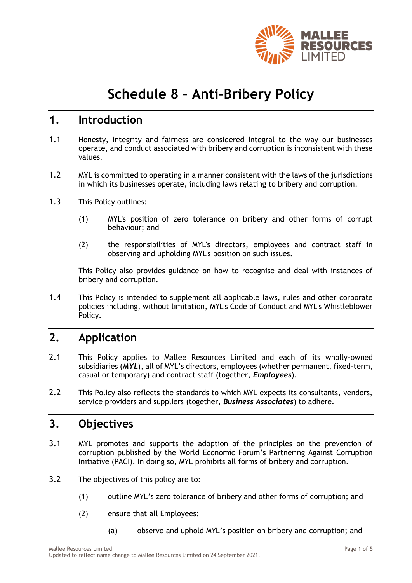

# **Schedule 8 – Anti-Bribery Policy**

### **1. Introduction**

- 1.1 Honesty, integrity and fairness are considered integral to the way our businesses operate, and conduct associated with bribery and corruption is inconsistent with these values.
- 1.2 MYL is committed to operating in a manner consistent with the laws of the jurisdictions in which its businesses operate, including laws relating to bribery and corruption.
- 1.3 This Policy outlines:
	- (1) MYL's position of zero tolerance on bribery and other forms of corrupt behaviour; and
	- (2) the responsibilities of MYL's directors, employees and contract staff in observing and upholding MYL's position on such issues.

This Policy also provides guidance on how to recognise and deal with instances of bribery and corruption.

1.4 This Policy is intended to supplement all applicable laws, rules and other corporate policies including, without limitation, MYL's Code of Conduct and MYL's Whistleblower Policy.

### **2. Application**

- 2.1 This Policy applies to Mallee Resources Limited and each of its wholly-owned subsidiaries (*MYL*), all of MYL's directors, employees (whether permanent, fixed-term, casual or temporary) and contract staff (together, *Employees*).
- 2.2 This Policy also reflects the standards to which MYL expects its consultants, vendors, service providers and suppliers (together, *Business Associates*) to adhere.

### **3. Objectives**

- 3.1 MYL promotes and supports the adoption of the principles on the prevention of corruption published by the World Economic Forum's Partnering Against Corruption Initiative (PACI). In doing so, MYL prohibits all forms of bribery and corruption.
- 3.2 The objectives of this policy are to:
	- (1) outline MYL's zero tolerance of bribery and other forms of corruption; and
	- (2) ensure that all Employees:
		- (a) observe and uphold MYL's position on bribery and corruption; and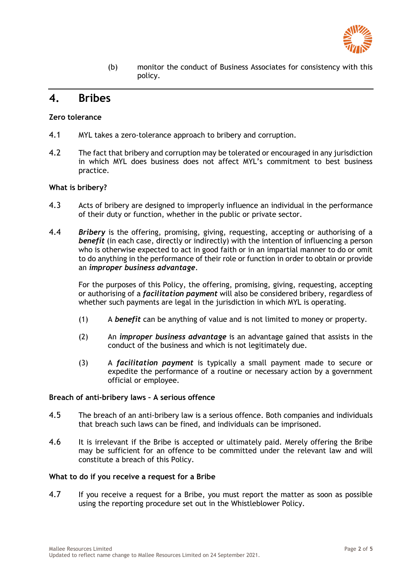

(b) monitor the conduct of Business Associates for consistency with this policy.

# **4. Bribes**

#### **Zero tolerance**

- 4.1 MYL takes a zero-tolerance approach to bribery and corruption.
- 4.2 The fact that bribery and corruption may be tolerated or encouraged in any jurisdiction in which MYL does business does not affect MYL's commitment to best business practice.

#### **What is bribery?**

- 4.3 Acts of bribery are designed to improperly influence an individual in the performance of their duty or function, whether in the public or private sector.
- 4.4 *Bribery* is the offering, promising, giving, requesting, accepting or authorising of a **benefit** (in each case, directly or indirectly) with the intention of influencing a person who is otherwise expected to act in good faith or in an impartial manner to do or omit to do anything in the performance of their role or function in order to obtain or provide an *improper business advantage*.

For the purposes of this Policy, the offering, promising, giving, requesting, accepting or authorising of a *facilitation payment* will also be considered bribery, regardless of whether such payments are legal in the jurisdiction in which MYL is operating.

- (1) A *benefit* can be anything of value and is not limited to money or property.
- (2) An *improper business advantage* is an advantage gained that assists in the conduct of the business and which is not legitimately due.
- (3) A *facilitation payment* is typically a small payment made to secure or expedite the performance of a routine or necessary action by a government official or employee.

#### **Breach of anti-bribery laws – A serious offence**

- 4.5 The breach of an anti-bribery law is a serious offence. Both companies and individuals that breach such laws can be fined, and individuals can be imprisoned.
- 4.6 It is irrelevant if the Bribe is accepted or ultimately paid. Merely offering the Bribe may be sufficient for an offence to be committed under the relevant law and will constitute a breach of this Policy.

#### **What to do if you receive a request for a Bribe**

4.7 If you receive a request for a Bribe, you must report the matter as soon as possible using the reporting procedure set out in the Whistleblower Policy.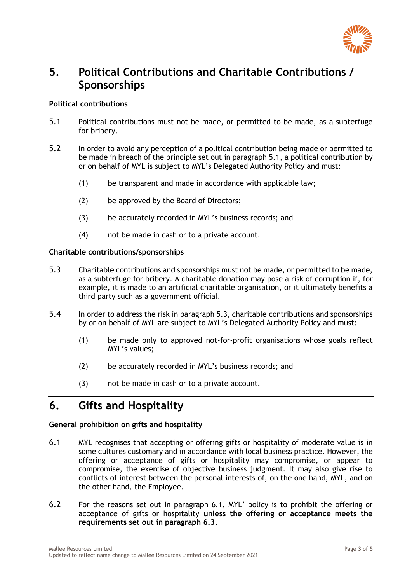

# **5. Political Contributions and Charitable Contributions / Sponsorships**

#### **Political contributions**

- 5.1 Political contributions must not be made, or permitted to be made, as a subterfuge for bribery.
- 5.2 In order to avoid any perception of a political contribution being made or permitted to be made in breach of the principle set out in paragraph 5.1, a political contribution by or on behalf of MYL is subject to MYL's Delegated Authority Policy and must:
	- (1) be transparent and made in accordance with applicable law;
	- (2) be approved by the Board of Directors;
	- (3) be accurately recorded in MYL's business records; and
	- (4) not be made in cash or to a private account.

#### **Charitable contributions/sponsorships**

- 5.3 Charitable contributions and sponsorships must not be made, or permitted to be made, as a subterfuge for bribery. A charitable donation may pose a risk of corruption if, for example, it is made to an artificial charitable organisation, or it ultimately benefits a third party such as a government official.
- 5.4 In order to address the risk in paragraph 5.3, charitable contributions and sponsorships by or on behalf of MYL are subject to MYL's Delegated Authority Policy and must:
	- (1) be made only to approved not-for-profit organisations whose goals reflect MYL's values;
	- (2) be accurately recorded in MYL's business records; and
	- (3) not be made in cash or to a private account.

# **6. Gifts and Hospitality**

#### **General prohibition on gifts and hospitality**

- 6.1 MYL recognises that accepting or offering gifts or hospitality of moderate value is in some cultures customary and in accordance with local business practice. However, the offering or acceptance of gifts or hospitality may compromise, or appear to compromise, the exercise of objective business judgment. It may also give rise to conflicts of interest between the personal interests of, on the one hand, MYL, and on the other hand, the Employee.
- 6.2 For the reasons set out in paragraph 6.1, MYL' policy is to prohibit the offering or acceptance of gifts or hospitality **unless the offering or acceptance meets the requirements set out in paragraph 6.3**.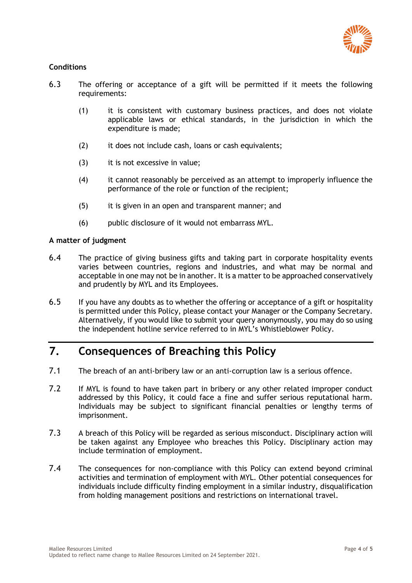

#### **Conditions**

- 6.3 The offering or acceptance of a gift will be permitted if it meets the following requirements:
	- (1) it is consistent with customary business practices, and does not violate applicable laws or ethical standards, in the jurisdiction in which the expenditure is made;
	- (2) it does not include cash, loans or cash equivalents;
	- (3) it is not excessive in value;
	- (4) it cannot reasonably be perceived as an attempt to improperly influence the performance of the role or function of the recipient;
	- (5) it is given in an open and transparent manner; and
	- (6) public disclosure of it would not embarrass MYL.

#### **A matter of judgment**

- 6.4 The practice of giving business gifts and taking part in corporate hospitality events varies between countries, regions and industries, and what may be normal and acceptable in one may not be in another. It is a matter to be approached conservatively and prudently by MYL and its Employees.
- 6.5 If you have any doubts as to whether the offering or acceptance of a gift or hospitality is permitted under this Policy, please contact your Manager or the Company Secretary. Alternatively, if you would like to submit your query anonymously, you may do so using the independent hotline service referred to in MYL's Whistleblower Policy.

# **7. Consequences of Breaching this Policy**

- 7.1 The breach of an anti-bribery law or an anti-corruption law is a serious offence.
- 7.2 If MYL is found to have taken part in bribery or any other related improper conduct addressed by this Policy, it could face a fine and suffer serious reputational harm. Individuals may be subject to significant financial penalties or lengthy terms of imprisonment.
- 7.3 A breach of this Policy will be regarded as serious misconduct. Disciplinary action will be taken against any Employee who breaches this Policy. Disciplinary action may include termination of employment.
- 7.4 The consequences for non-compliance with this Policy can extend beyond criminal activities and termination of employment with MYL. Other potential consequences for individuals include difficulty finding employment in a similar industry, disqualification from holding management positions and restrictions on international travel.